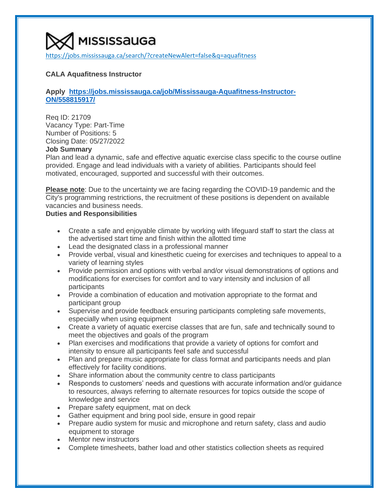[https://jobs.mississauga.ca/search/?createNewAlert=false&q=aquafitness](https://www.google.com/url?q=https%3A%2F%2Fjobs.mississauga.ca%2Fsearch%2F%3FcreateNewAlert%3Dfalse%26q%3Daquafitness&sa=D&sntz=1&usg=AOvVaw3JQQBoshypohbETbch2CNk)

# **CALA Aquafitness Instructor**

## **Apply [https://jobs.mississauga.ca/job/Mississauga-Aquafitness-Instructor-](https://jobs.mississauga.ca/job/Mississauga-Aquafitness-Instructor-ON/558815917/)[ON/558815917/](https://jobs.mississauga.ca/job/Mississauga-Aquafitness-Instructor-ON/558815917/)**

Req ID: 21709 Vacancy Type: Part-Time Number of Positions: 5 Closing Date: 05/27/2022

# **Job Summary**

Plan and lead a dynamic, safe and effective aquatic exercise class specific to the course outline provided. Engage and lead individuals with a variety of abilities. Participants should feel motivated, encouraged, supported and successful with their outcomes.

**Please note**: Due to the uncertainty we are facing regarding the COVID-19 pandemic and the City's programming restrictions, the recruitment of these positions is dependent on available vacancies and business needs.

# **Duties and Responsibilities**

- Create a safe and enjoyable climate by working with lifeguard staff to start the class at the advertised start time and finish within the allotted time
- Lead the designated class in a professional manner
- Provide verbal, visual and kinesthetic cueing for exercises and techniques to appeal to a variety of learning styles
- Provide permission and options with verbal and/or visual demonstrations of options and modifications for exercises for comfort and to vary intensity and inclusion of all participants
- Provide a combination of education and motivation appropriate to the format and participant group
- Supervise and provide feedback ensuring participants completing safe movements, especially when using equipment
- Create a variety of aquatic exercise classes that are fun, safe and technically sound to meet the objectives and goals of the program
- Plan exercises and modifications that provide a variety of options for comfort and intensity to ensure all participants feel safe and successful
- Plan and prepare music appropriate for class format and participants needs and plan effectively for facility conditions.
- Share information about the community centre to class participants
- Responds to customers' needs and questions with accurate information and/or guidance to resources, always referring to alternate resources for topics outside the scope of knowledge and service
- Prepare safety equipment, mat on deck
- Gather equipment and bring pool side, ensure in good repair
- Prepare audio system for music and microphone and return safety, class and audio equipment to storage
- Mentor new instructors
- Complete timesheets, bather load and other statistics collection sheets as required